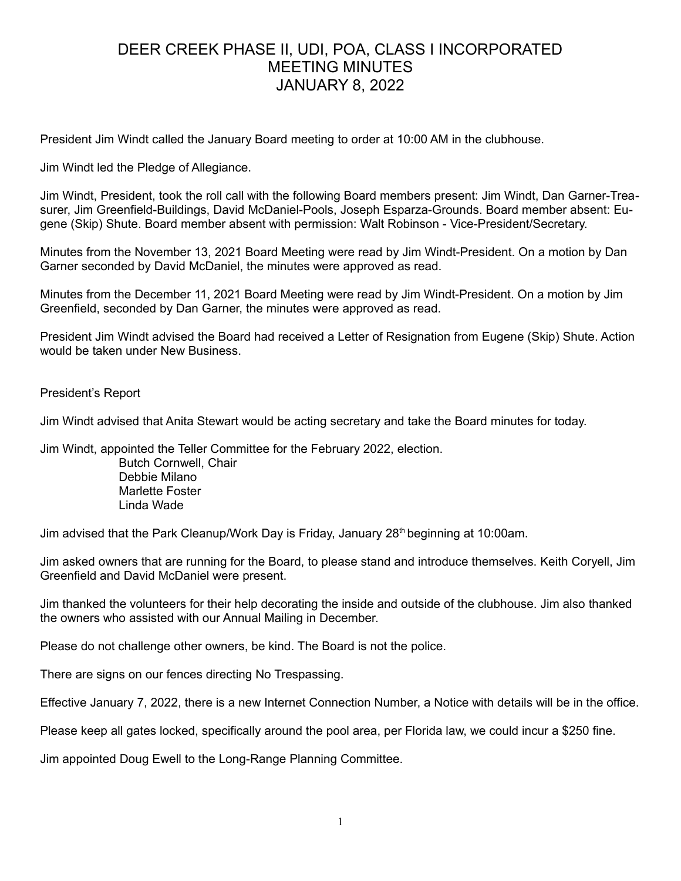# DEER CREEK PHASE II, UDI, POA, CLASS I INCORPORATED MEETING MINUTES JANUARY 8, 2022

President Jim Windt called the January Board meeting to order at 10:00 AM in the clubhouse.

Jim Windt led the Pledge of Allegiance.

Jim Windt, President, took the roll call with the following Board members present: Jim Windt, Dan Garner-Treasurer, Jim Greenfield-Buildings, David McDaniel-Pools, Joseph Esparza-Grounds. Board member absent: Eugene (Skip) Shute. Board member absent with permission: Walt Robinson - Vice-President/Secretary.

Minutes from the November 13, 2021 Board Meeting were read by Jim Windt-President. On a motion by Dan Garner seconded by David McDaniel, the minutes were approved as read.

Minutes from the December 11, 2021 Board Meeting were read by Jim Windt-President. On a motion by Jim Greenfield, seconded by Dan Garner, the minutes were approved as read.

President Jim Windt advised the Board had received a Letter of Resignation from Eugene (Skip) Shute. Action would be taken under New Business.

President's Report

Jim Windt advised that Anita Stewart would be acting secretary and take the Board minutes for today.

Jim Windt, appointed the Teller Committee for the February 2022, election.

Butch Cornwell, Chair Debbie Milano Marlette Foster Linda Wade

Jim advised that the Park Cleanup/Work Day is Friday, January  $28<sup>th</sup>$  beginning at 10:00am.

Jim asked owners that are running for the Board, to please stand and introduce themselves. Keith Coryell, Jim Greenfield and David McDaniel were present.

Jim thanked the volunteers for their help decorating the inside and outside of the clubhouse. Jim also thanked the owners who assisted with our Annual Mailing in December.

Please do not challenge other owners, be kind. The Board is not the police.

There are signs on our fences directing No Trespassing.

Effective January 7, 2022, there is a new Internet Connection Number, a Notice with details will be in the office.

Please keep all gates locked, specifically around the pool area, per Florida law, we could incur a \$250 fine.

Jim appointed Doug Ewell to the Long-Range Planning Committee.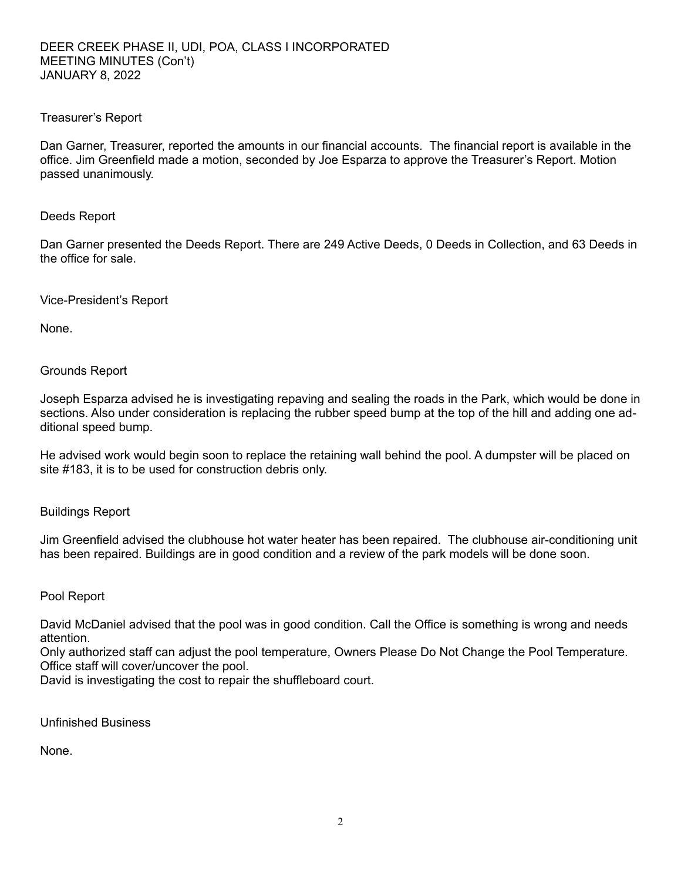## Treasurer's Report

Dan Garner, Treasurer, reported the amounts in our financial accounts. The financial report is available in the office. Jim Greenfield made a motion, seconded by Joe Esparza to approve the Treasurer's Report. Motion passed unanimously.

### Deeds Report

Dan Garner presented the Deeds Report. There are 249 Active Deeds, 0 Deeds in Collection, and 63 Deeds in the office for sale.

Vice-President's Report

None.

Grounds Report

Joseph Esparza advised he is investigating repaving and sealing the roads in the Park, which would be done in sections. Also under consideration is replacing the rubber speed bump at the top of the hill and adding one additional speed bump.

He advised work would begin soon to replace the retaining wall behind the pool. A dumpster will be placed on site #183, it is to be used for construction debris only.

Buildings Report

Jim Greenfield advised the clubhouse hot water heater has been repaired. The clubhouse air-conditioning unit has been repaired. Buildings are in good condition and a review of the park models will be done soon.

#### Pool Report

David McDaniel advised that the pool was in good condition. Call the Office is something is wrong and needs attention.

Only authorized staff can adjust the pool temperature, Owners Please Do Not Change the Pool Temperature. Office staff will cover/uncover the pool.

David is investigating the cost to repair the shuffleboard court.

Unfinished Business

None.